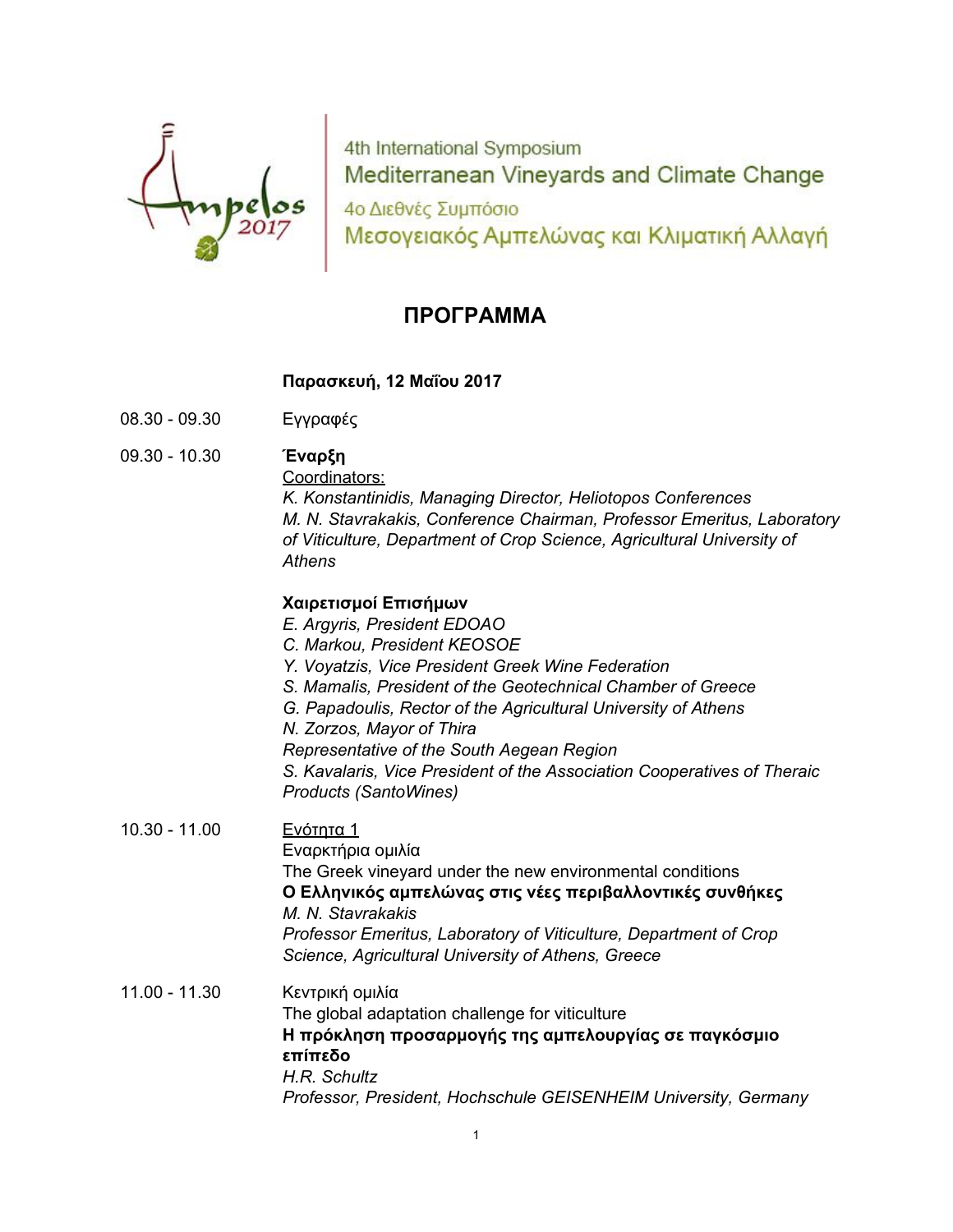

4th International Symposium Mediterranean Vineyards and Climate Change 4ο Διεθνές Συμπόσιο Μεσογειακός Αμπελώνας και Κλιματική Αλλαγή

# **ΠΡΟΓΡΑΜΜΑ**

## **Παρασκευή, 12 Μαΐου 2017**

- 08.30 09.30 Εγγραφές
- 09.30 10.30 **Έναρξη**

Coordinators:

*K. Konstantinidis, Managing Director, Heliotopos Conferences M. N. Stavrakakis, Conference Chairman, Professor Emeritus, Laboratory of Viticulture, Department of Crop Science, Agricultural University of Athens*

### **Χαιρετισμοί Επισήμων**

- *E. Argyris, President EDOAO*
- *C. Markou, President KEOSOE*
- *Υ. Voyatzis, Vice President Greek Wine Federation*
- *S. Mamalis, President of the Geotechnical Chamber of Greece*
- *G. Papadoulis, Rector of the Agricultural University of Athens*
- *N. Zorzos, Mayor of Thira*

*Representative of the South Aegean Region*

*S. Kavalaris, Vice President of the Association Cooperatives of Theraic Products (SantoWines)*

## 10.30 - 11.00 Ενότητα 1 Εναρκτήρια ομιλία The Greek vineyard under the new environmental conditions **Ο Ελληνικός αμπελώνας στις νέες περιβαλλοντικές συνθήκες** *M. N. Stavrakakis Professor Emeritus, Laboratory of Viticulture, Department of Crop Science, Agricultural University of Athens, Greece*

## 11.00 - 11.30 Κεντρική ομιλία The global adaptation challenge for viticulture **Η πρόκληση προσαρμογής της αμπελουργίας σε παγκόσμιο επίπεδο** *H.R. Schultz Professor, President, Hochschule GEISENHEIM University, Germany*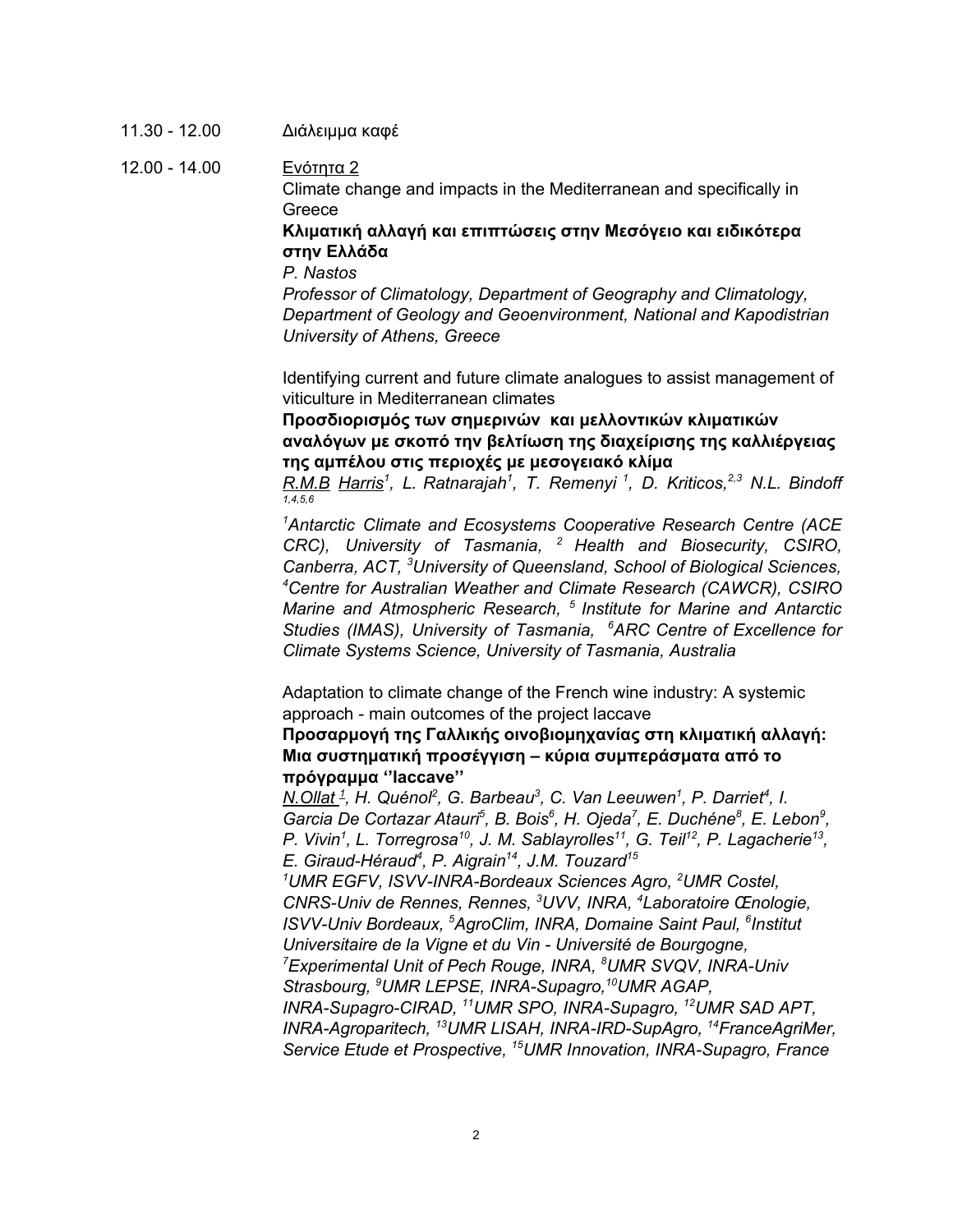11.30 - 12.00 Διάλειμμα καφέ

12.00 - 14.00 Ενότητα 2 Climate change and impacts in the Mediterranean and specifically in **Greece** 

> **Κλιματική αλλαγή και επιπτώσεις στην Μεσόγειο και ειδικότερα στην Ελλάδα**

*P. Nastos*

*Professor of Climatology, Department of Geography and Climatology, Department of Geology and Geoenvironment, National and Kapodistrian University of Athens, Greece*

Identifying current and future climate analogues to assist management of viticulture in Mediterranean climates

**Προσδιορισμός των σημερινών και μελλοντικών κλιματικών αναλόγων με σκοπό την βελτίωση της διαχείρισης της καλλιέργειας της αμπέλου στις περιοχές με μεσογειακό κλίμα**

*R.M.B Harris 1 , L. Ratnarajah 1 , T. Remenyi 1 , D. Kriticos, 2,3 N.L. Bindoff 1,4,5,6*

*<sup>1</sup>Antarctic Climate and Ecosystems Cooperative Research Centre (ACE CRC), University of Tasmania, <sup>2</sup> Health and Biosecurity, CSIRO, Canberra, ACT, <sup>3</sup>University of Queensland, School of Biological Sciences, <sup>4</sup>Centre for Australian Weather and Climate Research (CAWCR), CSIRO Marine and Atmospheric Research, 5 Institute for Marine and Antarctic Studies (IMAS), University of Tasmania, <sup>6</sup>ARC Centre of Excellence for Climate Systems Science, University of Tasmania, Australia*

Adaptation to climate change of the French wine industry: A systemic approach - main outcomes of the project laccave

**Προσαρμογή της Γαλλικής οινοβιομηχανίας στη κλιματική αλλαγή: Μια συστηματική προσέγγιση – κύρια συμπεράσματα από το πρόγραμμα ''laccave''**

*N.Ollat 1 , H. Quénol 2 , G. Barbeau 3 , C. Van Leeuwen 1 , P. Darriet 4 , I.* Garcia De Cortazar Atauri<sup>5</sup>, B. Bois<sup>6</sup>, H. Ojeda<sup>7</sup>, E. Duchéne<sup>8</sup>, E. Lebon<sup>9</sup>, P. Vivin<sup>1</sup>, L. Torregrosa<sup>10</sup>, J. M. Sablayrolles<sup>11</sup>, G. Teil<sup>12</sup>, P. Lagacherie<sup>13</sup>, *E. Giraud-Héraud 4 , P. Aigrain 14 , J.M. Touzard 15*

*<sup>1</sup>UMR EGFV, ISVV-INRA-Bordeaux Sciences Agro, <sup>2</sup>UMR Costel, CNRS-Univ de Rennes, Rennes, <sup>3</sup>UVV, INRA, <sup>4</sup>Laboratoire Œnologie, ISVV-Univ Bordeaux, <sup>5</sup>AgroClim, INRA, Domaine Saint Paul, 6 Institut Universitaire de la Vigne et du Vin - Université de Bourgogne, <sup>7</sup>Experimental Unit of Pech Rouge, INRA, <sup>8</sup>UMR SVQV, INRA-Univ Strasbourg, <sup>9</sup>UMR LEPSE, INRA-Supagro, <sup>10</sup>UMR AGAP, INRA-Supagro-CIRAD, <sup>11</sup>UMR SPO, INRA-Supagro, <sup>12</sup>UMR SAD APT,*

*INRA-Agroparitech, <sup>13</sup>UMR LISAH, INRA-IRD-SupAgro, <sup>14</sup>FranceAgriMer, Service Etude et Prospective, <sup>15</sup>UMR Innovation, INRA-Supagro, France*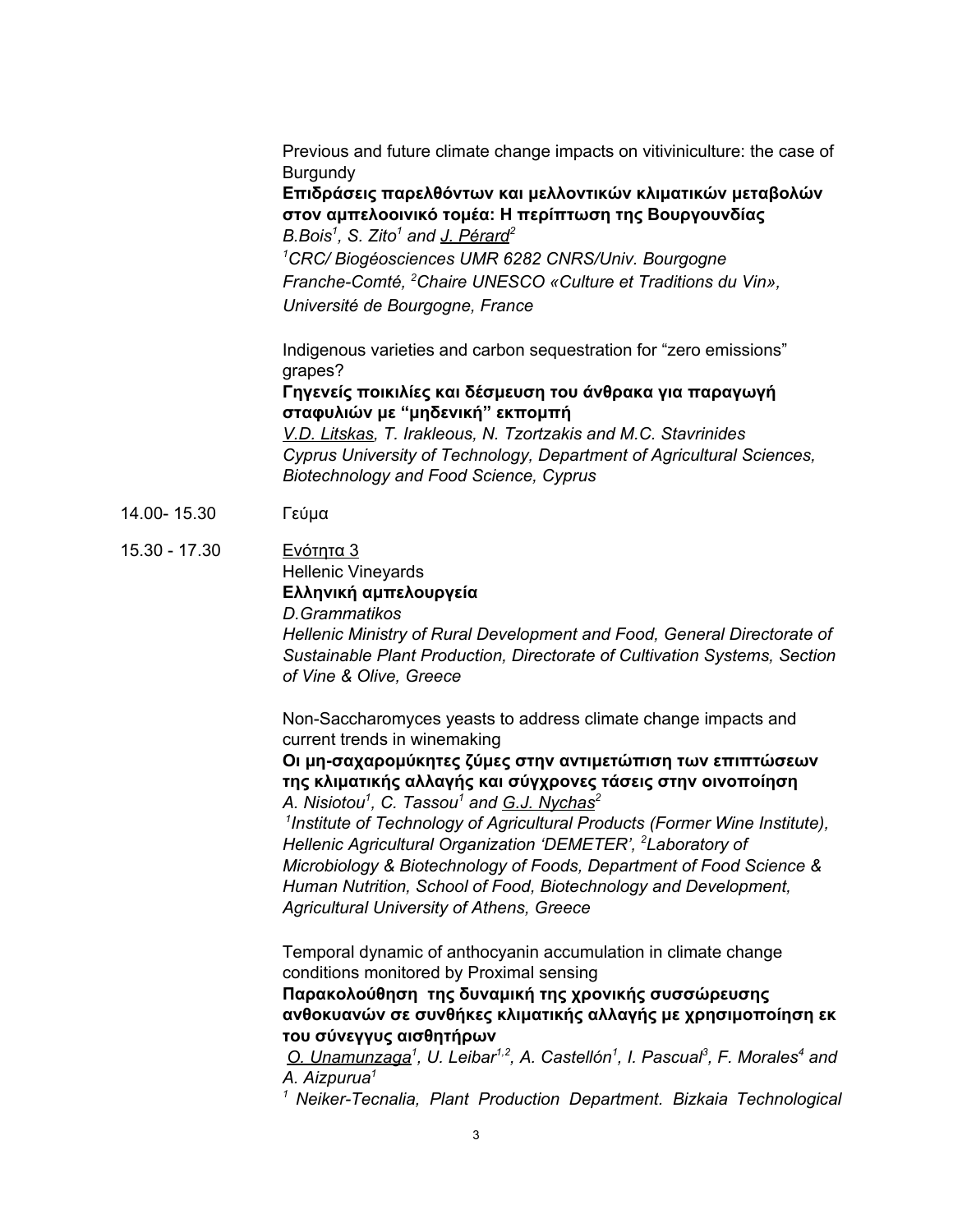Previous and future climate change impacts on vitiviniculture: the case of **Burgundy** 

**Επιδράσεις παρελθόντων και μελλοντικών κλιματικών μεταβολών στον αμπελοοινικό τομέα: Η περίπτωση της Βουργουνδίας** *B.Bois 1 , S. Zito <sup>1</sup> and J. Pérard 2*

*<sup>1</sup>CRC/ Biogéosciences UMR 6282 CNRS/Univ. Bourgogne Franche-Comté, <sup>2</sup>Chaire UNESCO «Culture et Traditions du Vin», Université de Bourgogne, France*

Indigenous varieties and carbon sequestration for "zero emissions" grapes?

**Γηγενείς ποικιλίες και δέσμευση του άνθρακα για παραγωγή σταφυλιών με "μηδενική" εκπομπή**

*V.D. Litskas, T. Irakleous, N. Tzortzakis and M.C. Stavrinides Cyprus University of Technology, Department of Agricultural Sciences, Biotechnology and Food Science, Cyprus*

- 14.00- 15.30 Γεύμα
- 15.30 17.30 Ενότητα 3 Hellenic Vineyards **Eλληνική αμπελουργεία** *D.Grammatikos*

*Hellenic Ministry of Rural Development and Food, General Directorate of Sustainable Plant Production, Directorate of Cultivation Systems, Section of Vine & Olive, Greece*

Non-Saccharomyces yeasts to address climate change impacts and current trends in winemaking

**Οι μη-σαχαρομύκητες ζύμες στην αντιμετώπιση των επιπτώσεων της κλιματικής αλλαγής και σύγχρονες τάσεις στην οινοποίηση** *A. Nisiotou 1 , C. Tassou <sup>1</sup> and G.J. Nychas 2*

*1 Institute of Technology of Agricultural Products (Former Wine Institute), Hellenic Agricultural Organization 'DEMETER', <sup>2</sup>Laboratory of Microbiology & Biotechnology of Foods, Department of Food Science & Human Nutrition, School of Food, Biotechnology and Development, Agricultural University of Athens, Greece*

Temporal dynamic of anthocyanin accumulation in climate change conditions monitored by Proximal sensing

**Παρακολούθηση της δυναμική της χρονικής συσσώρευσης ανθοκυανών σε συνθήκες κλιματικής αλλαγής με χρησιμοποίηση εκ του σύνεγγυς αισθητήρων**

*O. Unamunzaga 1 , U. Leibar 1,2 , A. Castellón 1 , I. Pascual 3 , F. Morales <sup>4</sup> and A. Aizpurua 1*

*<sup>1</sup> Neiker-Tecnalia, Plant Production Department. Bizkaia Technological*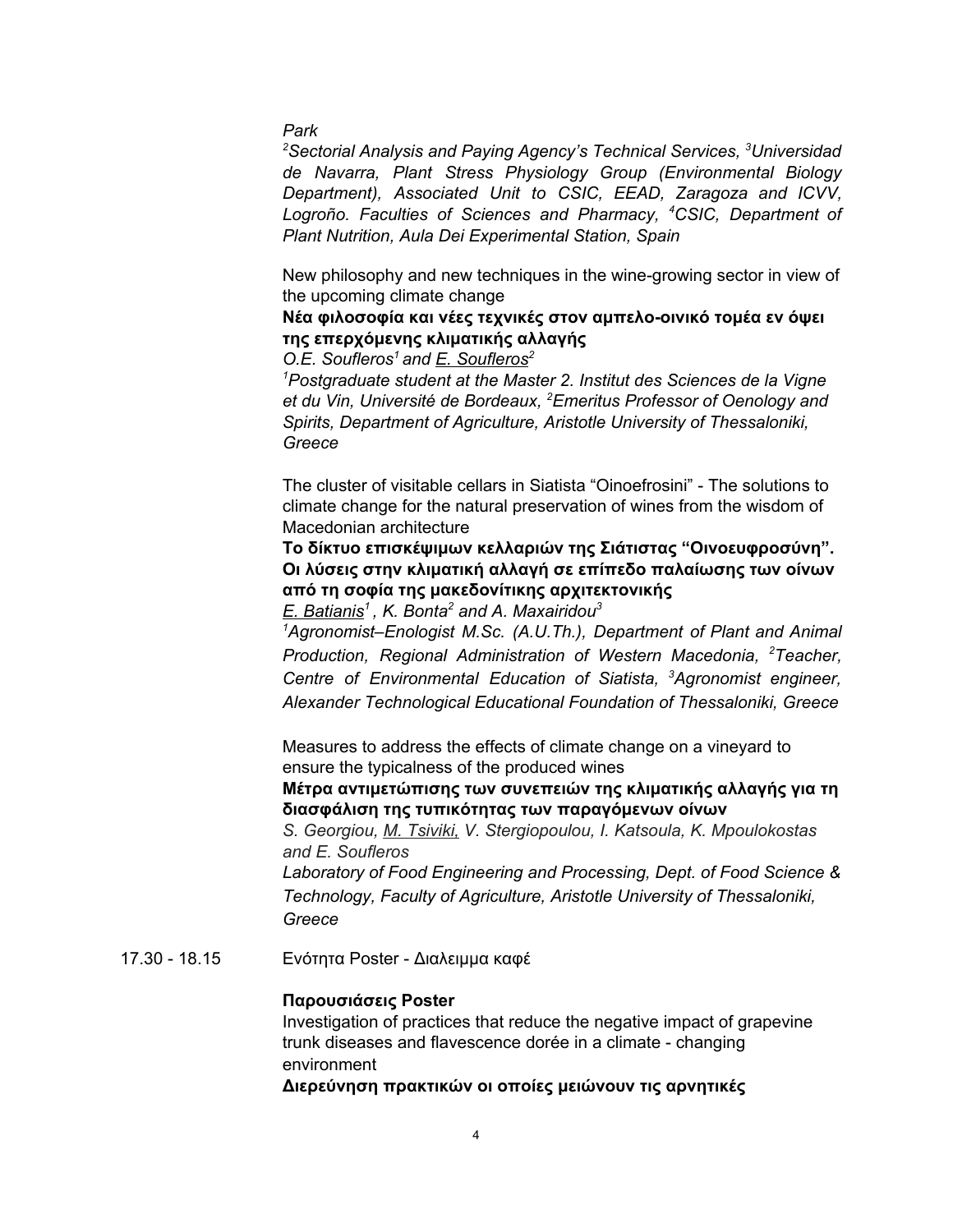*Park*

*<sup>2</sup>Sectorial Analysis and Paying Agency's Technical Services, <sup>3</sup>Universidad de Navarra, Plant Stress Physiology Group (Environmental Biology Department), Associated Unit to CSIC, EEAD, Zaragoza and ICVV, Logroño. Faculties of Sciences and Pharmacy, <sup>4</sup>CSIC, Department of Plant Nutrition, Aula Dei Experimental Station, Spain*

New philosophy and new techniques in the wine-growing sector in view of the upcoming climate change

**Νέα φιλοσοφία και νέες τεχνικές στον αμπελο-οινικό τομέα εν όψει της επερχόμενης κλιματικής αλλαγής**

*O.E. Soufleros <sup>1</sup> and E. Soufleros 2*

*<sup>1</sup>Postgraduate student at the Master 2. Institut des Sciences de la Vigne et du Vin, Université de Bordeaux, <sup>2</sup>Emeritus Professor of Oenology and Spirits, Department of Agriculture, Aristotle University of Thessaloniki, Greece*

Τhe cluster of visitable cellars in Siatista "Oinoefrosini" - The solutions to climate change for the natural preservation of wines from the wisdom of Macedonian architecture

**Το δίκτυο επισκέψιμων κελλαριών της Σιάτιστας "Οινοευφροσύνη". Οι λύσεις στην κλιματική αλλαγή σε επίπεδο παλαίωσης των οίνων από τη σοφία της μακεδονίτικης αρχιτεκτονικής**

*E. Batianis 1 , K. Bonta <sup>2</sup> and A. Maxairidou 3*

*<sup>1</sup>Agronomist–Enologist M.Sc. (A.U.Th.), Department of Plant and Animal Production, Regional Administration of Western Macedonia, <sup>2</sup>Teacher, Centre of Environmental Education of Siatista, <sup>3</sup>Agronomist engineer, Alexander Technological Educational Foundation of Thessaloniki, Greece*

Measures to address the effects of climate change on a vineyard to ensure the typicalness of the produced wines

**Μέτρα αντιμετώπισης των συνεπειών της κλιματικής αλλαγής για τη διασφάλιση της τυπικότητας των παραγόμενων οίνων**

*S. Georgiou, M. Tsiviki, V. Stergiopoulou, I. Katsoula, K. Mpoulokostas and E. Soufleros*

*Laboratory of Food Engineering and Processing, Dept. of Food Science & Technology, Faculty of Agriculture, Aristotle University of Thessaloniki, Greece*

17.30 - 18.15 Ενότητα Poster - Διαλειμμα καφέ

### **Παρουσιάσεις Poster**

Investigation of practices that reduce the negative impact of grapevine trunk diseases and flavescence dorée in a climate - changing environment

**Διερεύνηση πρακτικών οι οποίες μειώνουν τις αρνητικές**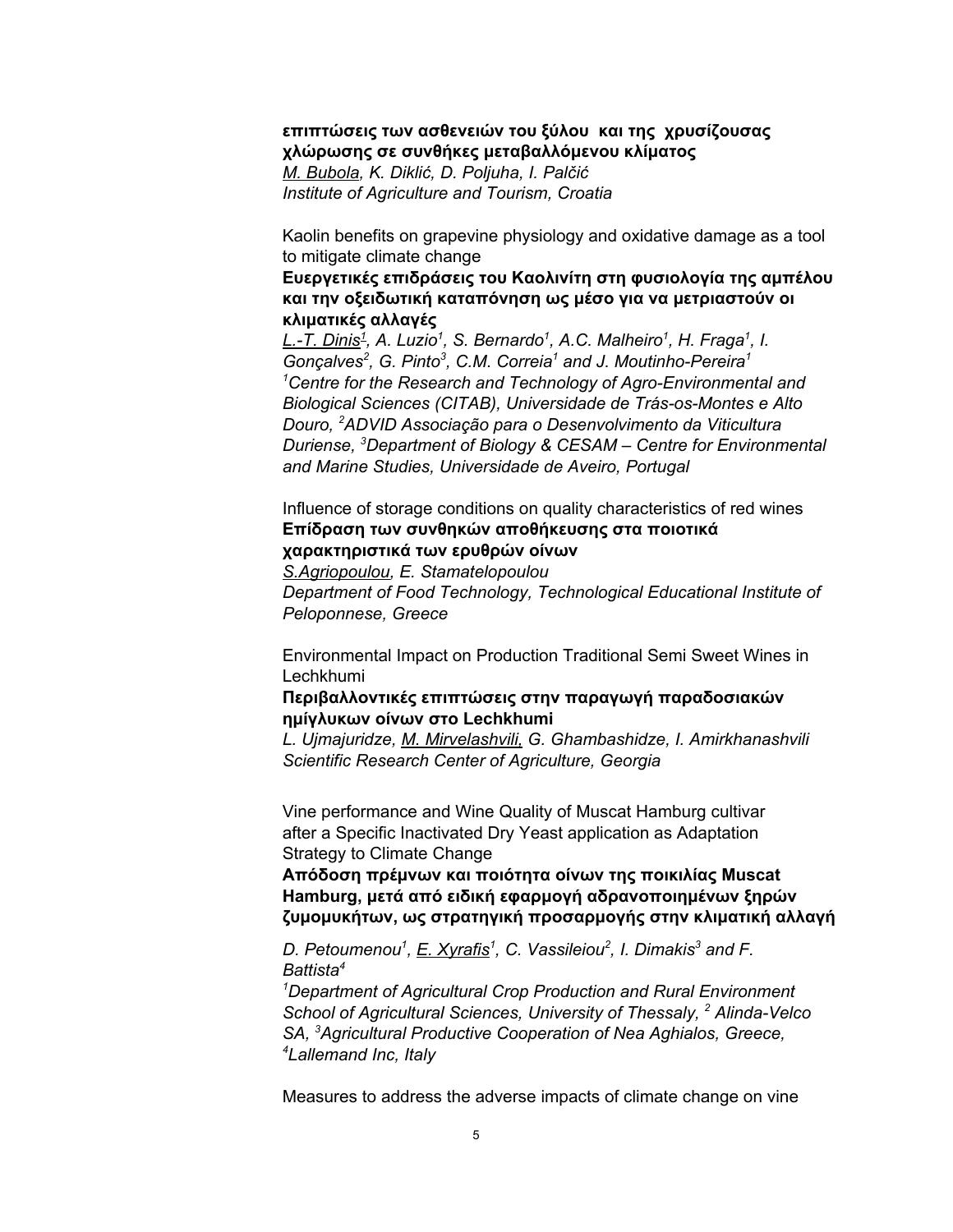## **επιπτώσεις των ασθενειών του ξύλου και της χρυσίζουσας χλώρωσης σε συνθήκες μεταβαλλόμενου κλίματος** *M. Bubola, K. Diklić, D. Poljuha, I. Palčić Institute of Agriculture and Tourism, Croatia*

Kaolin benefits on grapevine physiology and oxidative damage as a tool to mitigate climate change

**Ευεργετικές επιδράσεις του Καολινίτη στη φυσιολογία της αμπέλου και την οξειδωτική καταπόνηση ως μέσο για να μετριαστούν οι κλιματικές αλλαγές**

<u>L.-T. Dinis<sup>1</sup>,</u> A. Luzio<sup>1</sup>, S. Bernardo<sup>1</sup>, A.C. Malheiro<sup>1</sup>, H. Fraga<sup>1</sup>, I. *Gonçalves 2 , G. Pinto 3 , C.M. Correia <sup>1</sup> and J. Moutinho-Pereira 1 <sup>1</sup>Centre for the Research and Technology of Agro-Environmental and Biological Sciences (CITAB), Universidade de Trás-os-Montes e Alto Douro, <sup>2</sup>ADVID Associação para o Desenvolvimento da Viticultura Duriense, <sup>3</sup>Department of Biology & CESAM – Centre for Environmental and Marine Studies, Universidade de Aveiro, Portugal*

## Influence of storage conditions on quality characteristics of red wines **Επίδραση των συνθηκών αποθήκευσης στα ποιοτικά χαρακτηριστικά των ερυθρών οίνων**

*S.Agriopoulou, E. Stamatelopoulou Department of Food Technology, Technological Educational Institute of Peloponnese, Greece*

Environmental Impact on Production Traditional Semi Sweet Wines in Lechkhumi

## **Περιβαλλοντικές επιπτώσεις στην παραγωγή παραδοσιακών ημίγλυκων οίνων στο Lechkhumi**

*L. Ujmajuridze, M. Mirvelashvili, G. Ghambashidze, I. Amirkhanashvili Scientific Research Center of Agriculture, Georgia*

Vine performance and Wine Quality of Muscat Hamburg cultivar after a Specific Inactivated Dry Yeast application as Adaptation Strategy to Climate Change

**Απόδοση πρέμνων και ποιότητα οίνων της ποικιλίας Muscat Hamburg, μετά από ειδική εφαρμογή αδρανοποιημένων ξηρών ζυμομυκήτων, ως στρατηγική προσαρμογής στην κλιματική αλλαγή**

*D. Petoumenou 1 , E. Xyrafis 1 , C. Vassileiou 2 , I. Dimakis <sup>3</sup> and F. Battista 4*

*<sup>1</sup>Department of Agricultural Crop Production and Rural Environment School of Agricultural Sciences, University of Thessaly, <sup>2</sup> Alinda-Velco SA, <sup>3</sup>Agricultural Productive Cooperation of Nea Aghialos, Greece, <sup>4</sup>Lallemand Inc, Italy*

Measures to address the adverse impacts of climate change on vine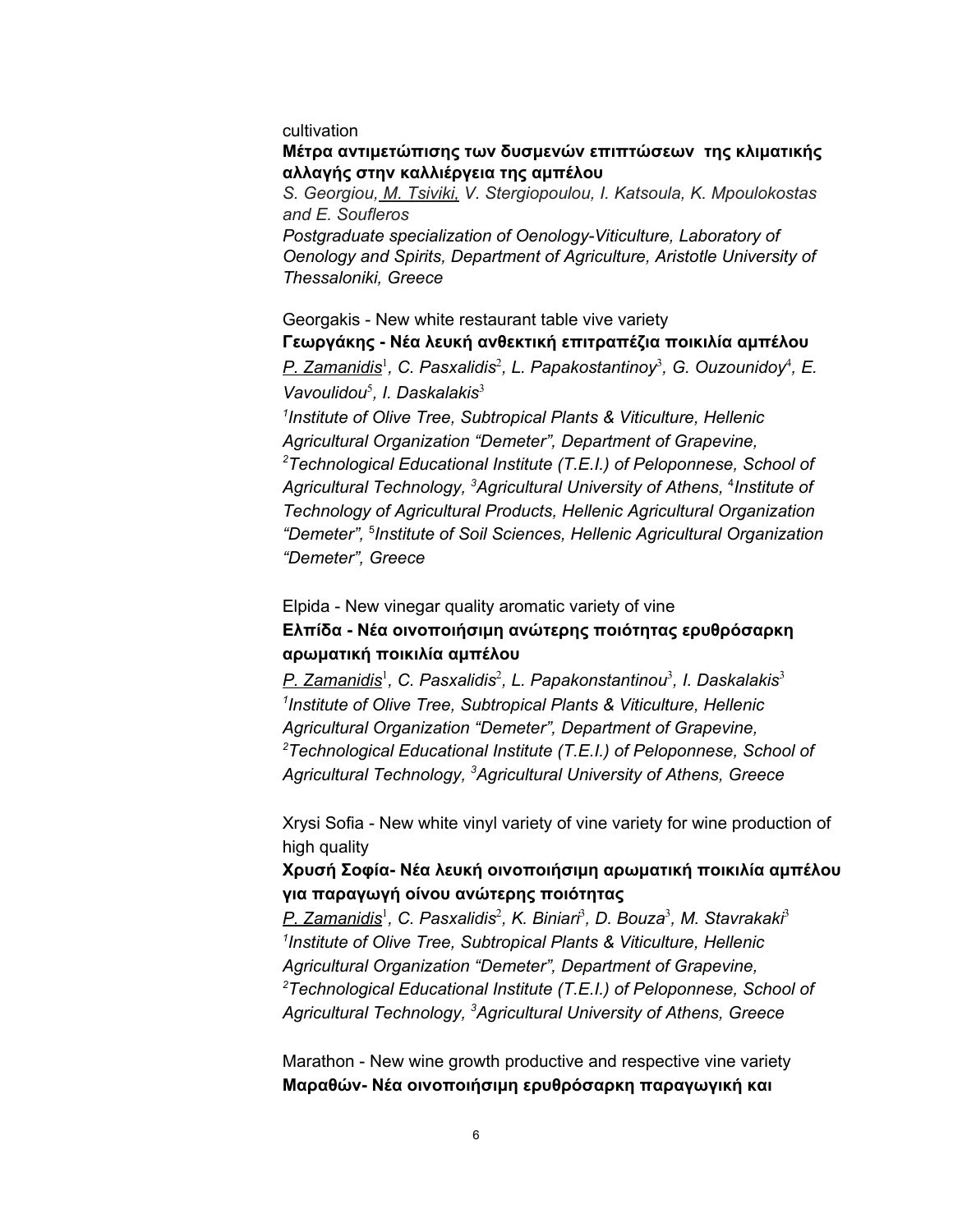#### cultivation

#### **Μέτρα αντιμετώπισης των δυσμενών επιπτώσεων της κλιματικής αλλαγής στην καλλιέργεια της αμπέλου**

*S. Georgiou, M. Tsiviki, V. Stergiopoulou, I. Katsoula, K. Mpoulokostas and E. Soufleros*

*Postgraduate specialization of Oenology-Viticulture, Laboratory of Oenology and Spirits, Department of Agriculture, Aristotle University of Thessaloniki, Greece*

## Georgakis - New white restaurant table vive variety **Γεωργάκης - Νέα λευκή ανθεκτική επιτραπέζια ποικιλία αμπέλου**

*P. Zamanidis* 1 *, C. Pasxalidis* 2 *, L. Papakostantinoy* 3 *, G. Ouzounidoy* 4 *, E. Vavoulidou* 5 *, I. Daskalakis* 3

*1 Institute of Olive Tree, Subtropical Plants & Viticulture, Hellenic Agricultural Organization "Demeter", Department of Grapevine, <sup>2</sup>Technological Educational Institute (T.E.I.) of Peloponnese, School of Agricultural Technology, <sup>3</sup>Agricultural University of Athens,* 4 *Institute of Technology of Agricultural Products, Hellenic Agricultural Organization "Demeter",* 5 *Institute of Soil Sciences, Hellenic Agricultural Organization "Demeter", Greece*

## Elpida - New vinegar quality aromatic variety of vine **Ελπίδα - Νέα οινοποιήσιμη ανώτερης ποιότητας ερυθρόσαρκη αρωματική ποικιλία αμπέλου**

*P. Zamanidis* 1 *, C. Pasxalidis* 2 *, L. Papakonstantinou* 3 *, I. Daskalakis* 3 *1 Institute of Olive Tree, Subtropical Plants & Viticulture, Hellenic Agricultural Organization "Demeter", Department of Grapevine, <sup>2</sup>Technological Educational Institute (T.E.I.) of Peloponnese, School of Agricultural Technology, <sup>3</sup>Agricultural University of Athens, Greece*

Xrysi Sofia - New white vinyl variety of vine variety for wine production of high quality

## **Χρυσή Σοφία- Νέα λευκή οινοποιήσιμη αρωματική ποικιλία αμπέλου για παραγωγή οίνου ανώτερης ποιότητας**

*P. Zamanidis* 1 *, C. Pasxalidis* 2 *, K. Biniari* 3 *, D. Bouza* 3 *, M. Stavrakaki* 3 *1 Institute of Olive Tree, Subtropical Plants & Viticulture, Hellenic Agricultural Organization "Demeter", Department of Grapevine, <sup>2</sup>Technological Educational Institute (T.E.I.) of Peloponnese, School of Agricultural Technology, <sup>3</sup>Agricultural University of Athens, Greece*

Marathon - New wine growth productive and respective vine variety **Μαραθών- Νέα οινοποιήσιμη ερυθρόσαρκη παραγωγική και**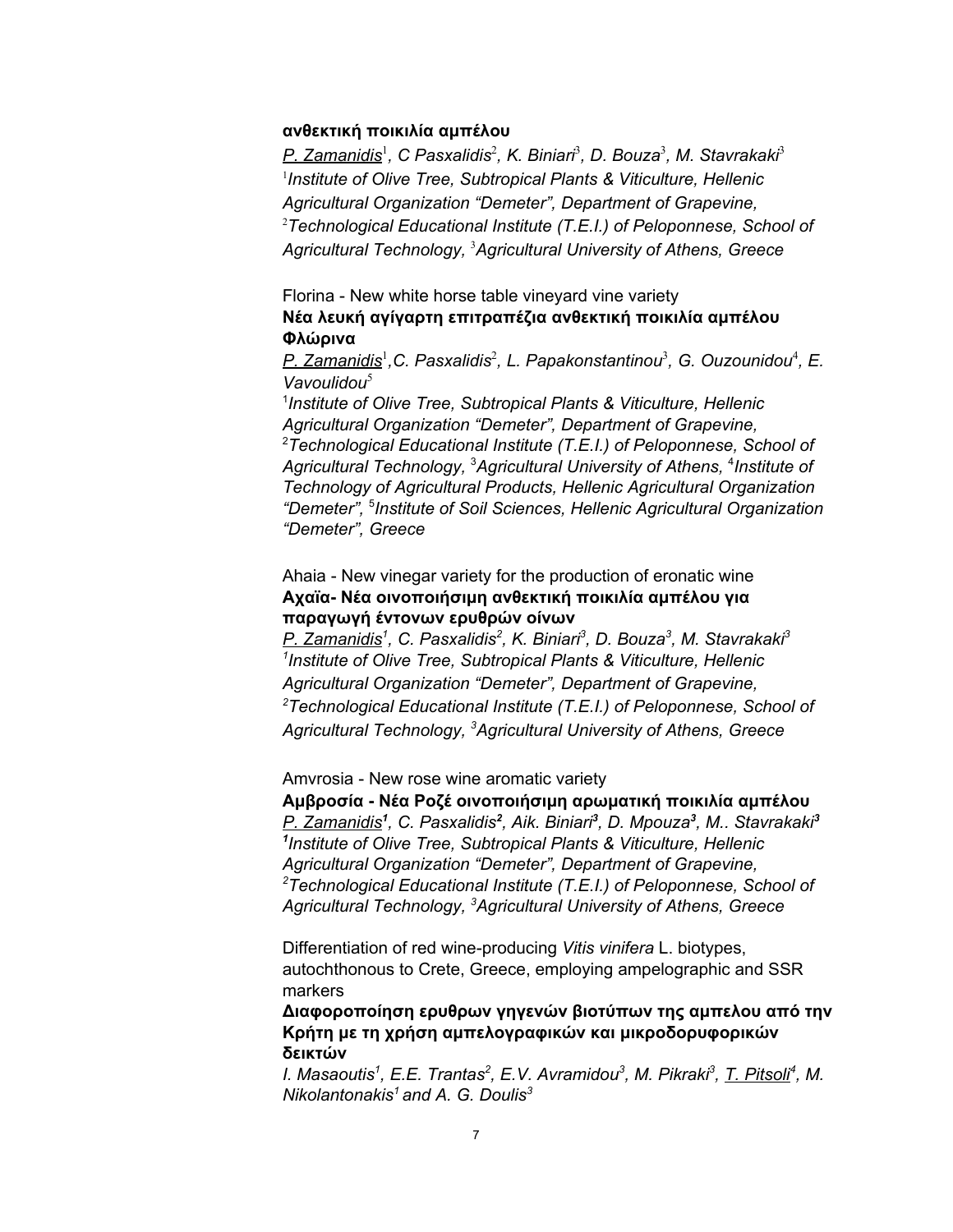#### **ανθεκτική ποικιλία αμπέλου**

*P. Zamanidis* 1 *, C Pasxalidis* 2 *, K. Biniari* 3 *, D. Bouza* 3 *, M. Stavrakaki* 3 1 *Institute of Olive Tree, Subtropical Plants & Viticulture, Hellenic Agricultural Organization "Demeter", Department of Grapevine,* <sup>2</sup>*Technological Educational Institute (T.E.I.) of Peloponnese, School of Agricultural Technology,* <sup>3</sup>*Agricultural University of Athens, Greece*

## Florina - New white horse table vineyard vine variety **Νέα λευκή αγίγαρτη επιτραπέζια ανθεκτική ποικιλία αμπέλου Φλώρινα**

*P. Zamanidis* 1 *,C. Pasxalidis* 2 *, L. Papakonstantinou* 3 *, G. Ouzounidou* 4 *, E. Vavoulidou* 5

1 *Institute of Olive Tree, Subtropical Plants & Viticulture, Hellenic Agricultural Organization "Demeter", Department of Grapevine,* <sup>2</sup>*Technological Educational Institute (T.E.I.) of Peloponnese, School of Agricultural Technology,* <sup>3</sup>*Agricultural University of Athens,* 4 *Institute of Technology of Agricultural Products, Hellenic Agricultural Organization "Demeter",* 5 *Institute of Soil Sciences, Hellenic Agricultural Organization "Demeter", Greece*

## Ahaia - New vinegar variety for the production of eronatic wine **Αχαϊα- Νέα οινοποιήσιμη ανθεκτική ποικιλία αμπέλου για παραγωγή έντονων ερυθρών οίνων**

*P. Zamanidis 1 , C. Pasxalidis 2 , K. Biniari 3 , D. Bouza 3 , M. Stavrakaki 3 1 Institute of Olive Tree, Subtropical Plants & Viticulture, Hellenic Agricultural Organization "Demeter", Department of Grapevine, <sup>2</sup>Technological Educational Institute (T.E.I.) of Peloponnese, School of Agricultural Technology, <sup>3</sup>Agricultural University of Athens, Greece*

Amvrosia - New rose wine aromatic variety

**Αμβροσία - Νέα Ροζέ οινοποιήσιμη αρωματική ποικιλία αμπέλου** *P. Zamanidis 1 , C. Pasxalidis 2 , Aik. Biniari 3 , D. Mpouza 3 , M.. Stavrakaki 3 1 Institute of Olive Tree, Subtropical Plants & Viticulture, Hellenic Agricultural Organization "Demeter", Department of Grapevine, <sup>2</sup>Technological Educational Institute (T.E.I.) of Peloponnese, School of Agricultural Technology, <sup>3</sup>Agricultural University of Athens, Greece*

Differentiation of red wine-producing *Vitis vinifera* L. biotypes, autochthonous to Crete, Greece, employing ampelographic and SSR markers

**Διαφοροποίηση ερυθρων γηγενών βιοτύπων της αμπελου από την Κρήτη με τη χρήση αμπελογραφικών και μικροδορυφορικών δεικτών**

I. Masaoutis<sup>1</sup>, E.E. Trantas<sup>2</sup>, E.V. Avramidou<sup>3</sup>, M. Pikraki<sup>3</sup>, <u>T. Pitsoli</u><sup>4</sup>, M. *Nikolantonakis <sup>1</sup> and A. G. Doulis 3*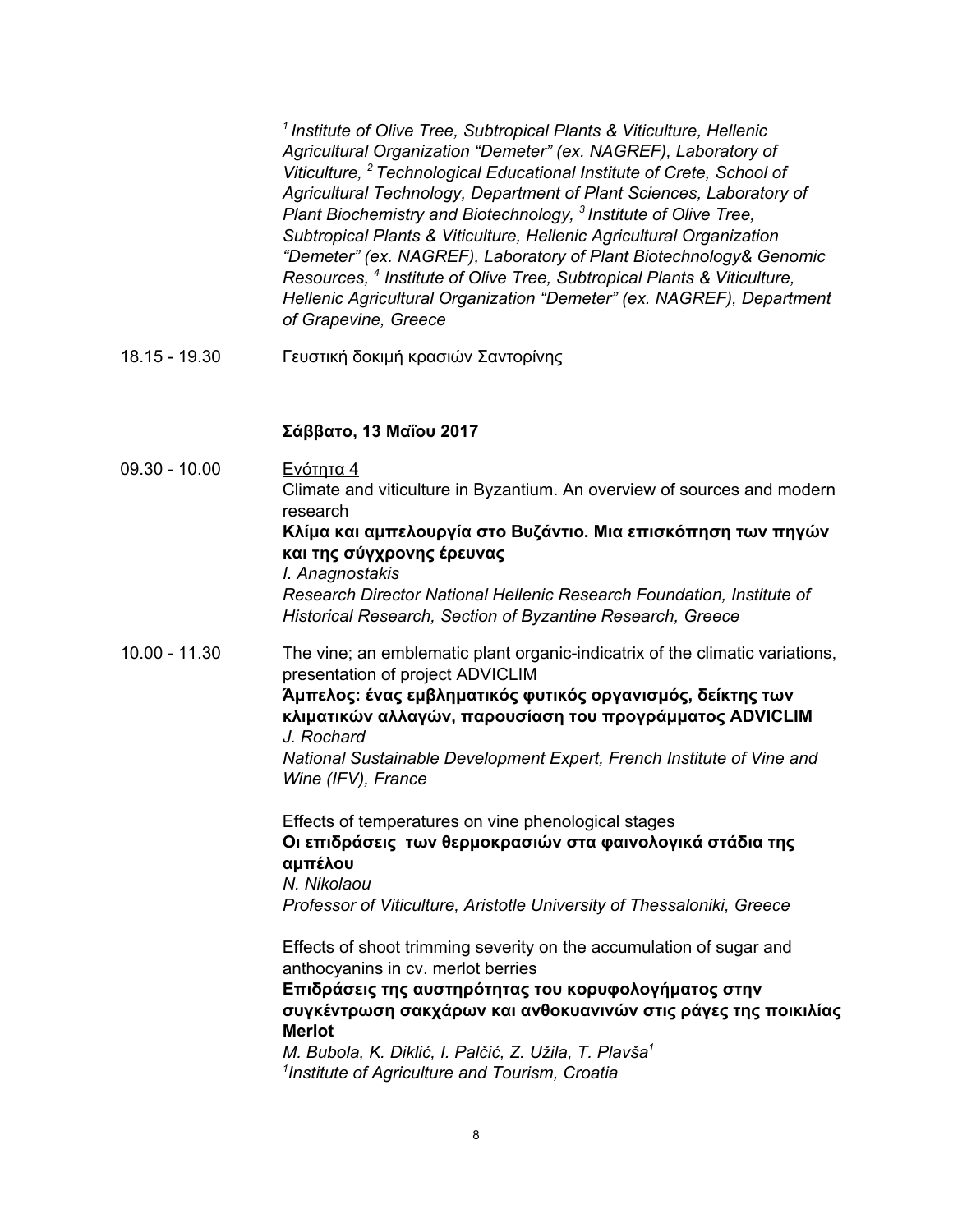*1 Institute of Olive Tree, Subtropical Plants & Viticulture, Hellenic Agricultural Organization "Demeter" (ex. NAGREF), Laboratory of Viticulture, <sup>2</sup> Technological Educational Institute of Crete, School of Agricultural Technology, Department of Plant Sciences, Laboratory of Plant Biochemistry and Biotechnology, 3 Institute of Olive Tree, Subtropical Plants & Viticulture, Hellenic Agricultural Organization "Demeter" (ex. NAGREF), Laboratory of Plant Biotechnology& Genomic Resources, 4 Institute of Olive Tree, Subtropical Plants & Viticulture, Hellenic Agricultural Organization "Demeter" (ex. NAGREF), Department of Grapevine, Greece*

18.15 - 19.30 Γευστική δοκιμή κρασιών Σαντορίνης

### **Σάββατο, 13 Μαΐου 2017**

09.30 - 10.00 Ενότητα 4 Climate and viticulture in Byzantium. An overview of sources and modern research **Κλίμα και αμπελουργία στο Βυζάντιο. Μια επισκόπηση των πηγών και της σύγχρονης έρευνας** *I. Anagnostakis Research Director National Hellenic Research Foundation, Institute of Historical Research, Section of Byzantine Research, Greece* 10.00 - 11.30 The vine; an emblematic plant organic-indicatrix of the climatic variations, presentation of project ADVICLIM **Άμπελος: ένας εμβληματικός φυτικός οργανισμός, δείκτης των κλιματικών αλλαγών, παρουσίαση του προγράμματος ADVICLIM** *J. Rochard National Sustainable Development Expert, French Institute of Vine and Wine (IFV), France* Effects of temperatures on vine phenological stages **Οι επιδράσεις των θερμοκρασιών στα φαινολογικά στάδια της αμπέλου** *N. Nikolaou Professor of Viticulture, Aristotle University of Thessaloniki, Greece* Effects of shoot trimming severity on the accumulation of sugar and anthocyanins in cv. merlot berries **Επιδράσεις της αυστηρότητας του κορυφολογήματος στην συγκέντρωση σακχάρων και ανθοκυανινών στις ράγες της ποικιλίας Merlot** *M. Bubola, K. Diklić, I. Palčić, Z. Užila, T. Plavša 1 1 Institute of Agriculture and Tourism, Croatia*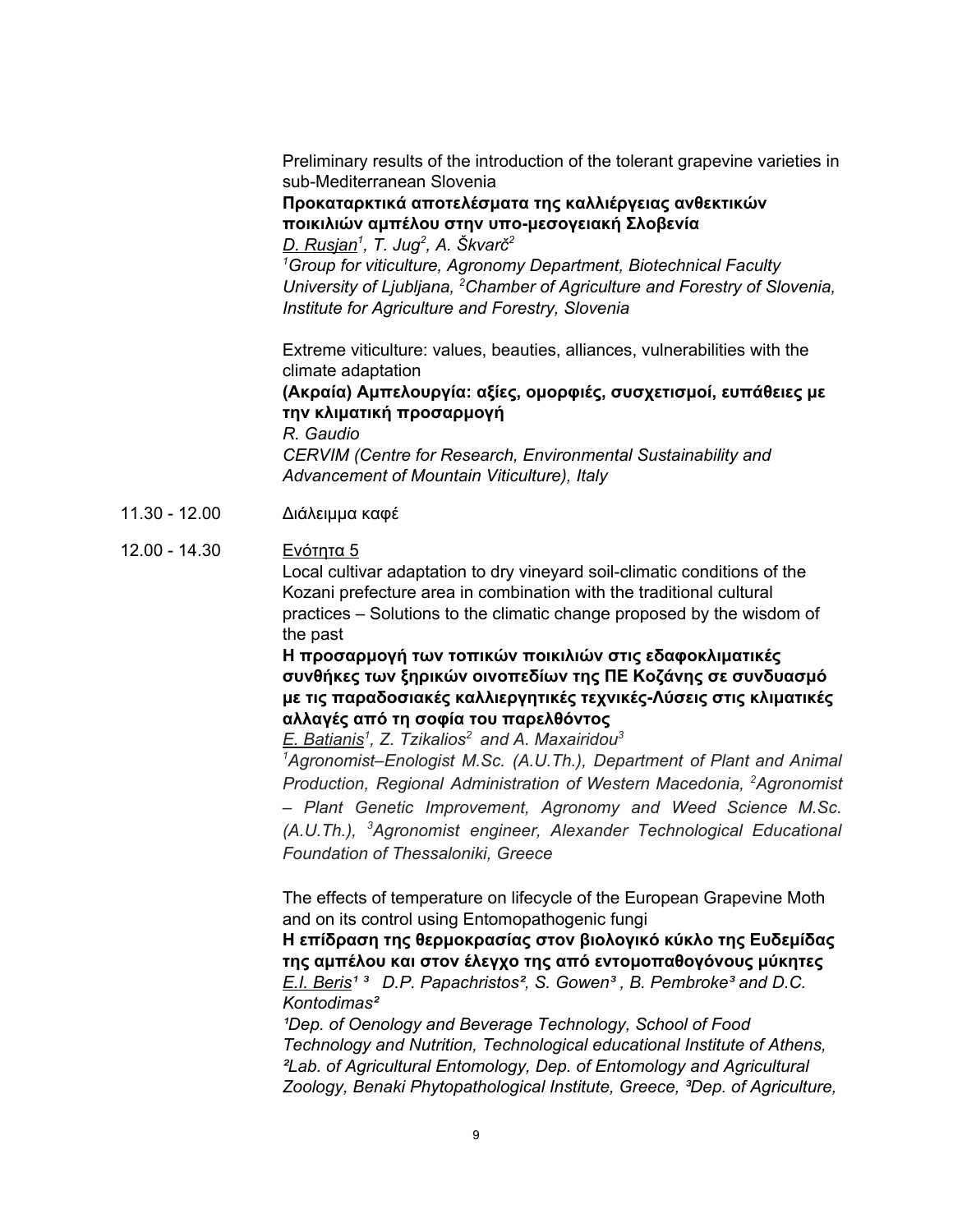Preliminary results of the introduction of the tolerant grapevine varieties in sub-Mediterranean Slovenia

## **Προκαταρκτικά αποτελέσματα της καλλιέργειας ανθεκτικών ποικιλιών αμπέλου στην υπο-μεσογειακή Σλοβενία**

*D. Rusjan 1 , T. Jug 2 , A. Škvarč 2 <sup>1</sup>Group for viticulture, Agronomy Department, Biotechnical Faculty University of Ljubljana, <sup>2</sup>Chamber of Agriculture and Forestry of Slovenia, Institute for Agriculture and Forestry, Slovenia*

Extreme viticulture: values, beauties, alliances, vulnerabilities with the climate adaptation

## **(Ακραία) Αμπελουργία: αξίες, ομορφιές, συσχετισμοί, ευπάθειες με την κλιματική προσαρμογή**

*R. Gaudio CERVIM (Centre for Research, Environmental Sustainability and Advancement of Mountain Viticulture), Italy*

11.30 - 12.00 Διάλειμμα καφέ

## 12.00 - 14.30 Ενότητα 5

Local cultivar adaptation to dry vineyard soil-climatic conditions of the Kozani prefecture area in combination with the traditional cultural practices – Solutions to the climatic change proposed by the wisdom of the past

**Η προσαρμογή των τοπικών ποικιλιών στις εδαφοκλιματικές συνθήκες των ξηρικών οινοπεδίων της ΠΕ Κοζάνης σε συνδυασμό με τις παραδοσιακές καλλιεργητικές τεχνικές-Λύσεις στις κλιματικές αλλαγές από τη σοφία του παρελθόντος**

*E. Batianis 1 , Z. Tzikalios <sup>2</sup> and A. Maxairidou 3*

*<sup>1</sup>Agronomist–Enologist M.Sc. (A.U.Th.), Department of Plant and Animal Production, Regional Administration of Western Macedonia, <sup>2</sup>Agronomist – Plant Genetic Improvement, Agronomy and Weed Science M.Sc. (A.U.Th.), <sup>3</sup>Agronomist engineer, Alexander Technological Educational Foundation of Thessaloniki, Greece*

The effects of temperature on lifecycle of the European Grapevine Moth and on its control using Entomopathogenic fungi

**H επίδραση της θερμοκρασίας στον βιολογικό κύκλο της Ευδεμίδας της αμπέλου και στον έλεγχο της από εντομοπαθογόνους μύκητες** *E.I. Beris¹ ³ D.P. Papachristos², S. Gowen³ , B. Pembroke³ and D.C. Kontodimas²*

*¹Dep. of Oenology and Beverage Technology, School of Food Technology and Nutrition, Technological educational Institute of Athens, ²Lab. of Agricultural Entomology, Dep. of Entomology and Agricultural Zoology, Benaki Phytopathological Institute, Greece, ³Dep. of Agriculture,*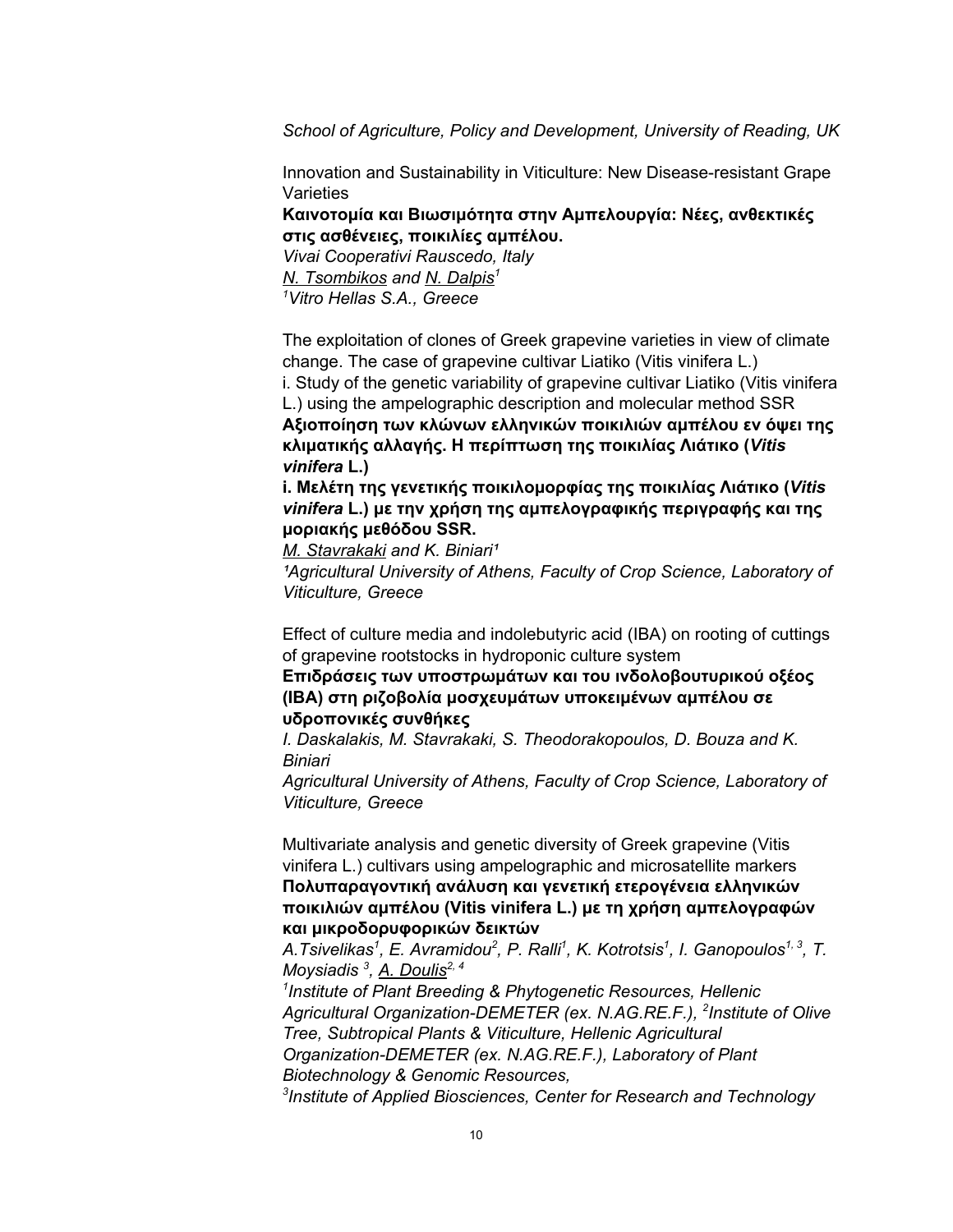*School of Agriculture, Policy and Development, University of Reading, UK*

Innovation and Sustainability in Viticulture: New Disease-resistant Grape **Varieties** 

**Καινοτομία και Βιωσιμότητα στην Αμπελουργία: Νέες, ανθεκτικές στις ασθένειες, ποικιλίες αμπέλου.**

*Vivai Cooperativi Rauscedo, Italy N. Tsombikos and N. Dalpis 1 <sup>1</sup>Vitro Hellas S.A., Greece*

The exploitation of clones of Greek grapevine varieties in view of climate change. The case of grapevine cultivar Liatiko (Vitis vinifera L.) i. Study of the genetic variability of grapevine cultivar Liatiko (Vitis vinifera L.) using the ampelographic description and molecular method SSR **Αξιοποίηση των κλώνων ελληνικών ποικιλιών αμπέλου εν όψει της κλιματικής αλλαγής. Η περίπτωση της ποικιλίας Λιάτικο (***Vitis vinifera* **L.)**

**i. Μελέτη της γενετικής ποικιλομορφίας της ποικιλίας Λιάτικο (***Vitis vinifera* **L.) με την χρήση της αμπελογραφικής περιγραφής και της μοριακής μεθόδου SSR.**

*M.* Stavrakaki and K. Biniari<sup>1</sup>

*¹Agricultural University of Athens, Faculty of Crop Science, Laboratory of Viticulture, Greece*

Effect of culture media and indolebutyric acid (IBA) on rooting of cuttings of grapevine rootstocks in hydroponic culture system

**Επιδράσεις των υποστρωμάτων και του ινδολοβουτυρικού οξέος (ΙΒΑ) στη ριζοβολία μοσχευμάτων υποκειμένων αμπέλου σε υδροπονικές συνθήκες**

*I. Daskalakis, M. Stavrakaki, S. Theodorakopoulos, D. Bouza and K. Biniari*

*Agricultural University of Athens, Faculty of Crop Science, Laboratory of Viticulture, Greece*

Multivariate analysis and genetic diversity of Greek grapevine (Vitis vinifera L.) cultivars using ampelographic and microsatellite markers **Πολυπαραγοντική ανάλυση και γενετική ετερογένεια ελληνικών ποικιλιών αμπέλου (Vitis vinifera L.) με τη χρήση αμπελογραφών και μικροδορυφορικών δεικτών**

A.Tsivelikas<sup>1</sup>, E. Avramidou<sup>2</sup>, P. Ralli<sup>1</sup>, K. Kotrotsis<sup>1</sup>, I. Ganopoulos<sup>1, 3</sup>, T. *Moysiadis 3 , A. Doulis 2, 4*

*1 Institute of Plant Breeding & Phytogenetic Resources, Hellenic Agricultural Organization-DEMETER (ex. N.AG.RE.F.), 2 Institute of Olive Tree, Subtropical Plants & Viticulture, Hellenic Agricultural Organization-DEMETER (ex. N.AG.RE.F.), Laboratory of Plant Biotechnology & Genomic Resources, 3 Institute of Applied Biosciences, Center for Research and Technology*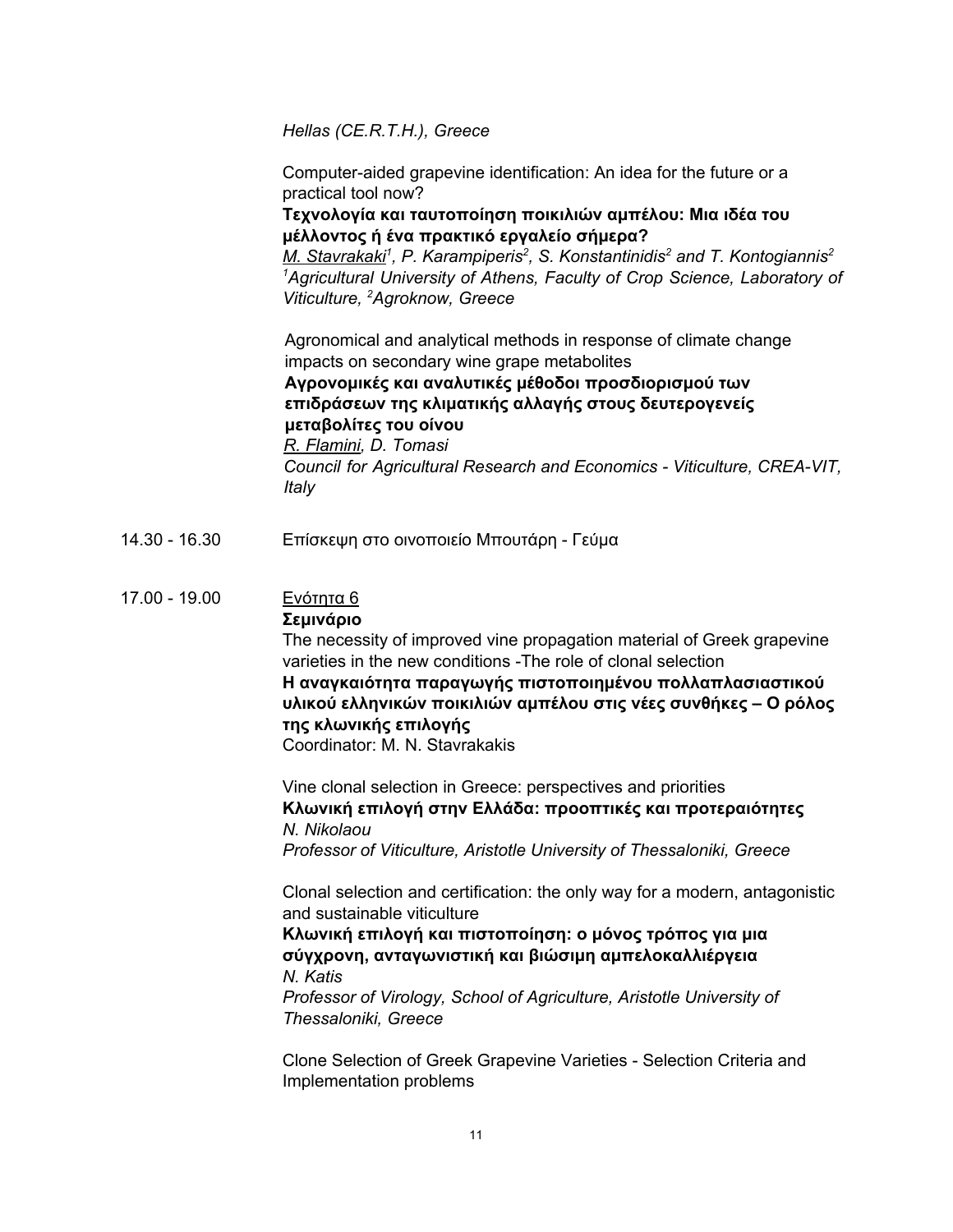*Hellas (CE.R.T.H.), Greece*

Computer-aided grapevine identification: An idea for the future or a practical tool now?

## **Τεχνολογία και ταυτοποίηση ποικιλιών αμπέλου: Μια ιδέα του μέλλοντος ή ένα πρακτικό εργαλείο σήμερα?**

*M. Stavrakaki<sup>1</sup>, P. Karampiperis<sup>2</sup>, S. Konstantinidis<sup>2</sup> and T. Kontogiannis<sup>2</sup> <sup>1</sup>Agricultural University of Athens, Faculty of Crop Science, Laboratory of Viticulture, <sup>2</sup>Agroknow, Greece*

Agronomical and analytical methods in response of climate change impacts on secondary wine grape metabolites

## **Αγρονομικές και αναλυτικές μέθοδοι προσδιορισμού των επιδράσεων της κλιματικής αλλαγής στους δευτερογενείς μεταβολίτες του οίνου**

*R. Flamini, D. Tomasi Council for Agricultural Research and Economics - Viticulture, CREA-VIT, Italy*

14.30 - 16.30 Επίσκεψη στο οινοποιείο Μπουτάρη - Γεύμα

## 17.00 - 19.00 Ενότητα 6

## **Σεμινάριο**

The necessity of improved vine propagation material of Greek grapevine varieties in the new conditions -The role of clonal selection **Η αναγκαιότητα παραγωγής πιστοποιημένου πολλαπλασιαστικού υλικού ελληνικών ποικιλιών αμπέλου στις νέες συνθήκες – Ο ρόλος της κλωνικής επιλογής**

Coordinator: M. N. Stavrakakis

Vine clonal selection in Greece: perspectives and priorities **Κλωνική επιλογή στην Ελλάδα: προοπτικές και προτεραιότητες** *N. Nikolaou Professor of Viticulture, Aristotle University of Thessaloniki, Greece*

Clonal selection and certification: the only way for a modern, antagonistic and sustainable viticulture

**Κλωνική επιλογή και πιστοποίηση: ο μόνος τρόπος για μια σύγχρονη, ανταγωνιστική και βιώσιμη αμπελοκαλλιέργεια** *N. Katis*

*Professor of Virology, School of Agriculture, Aristotle University of Thessaloniki, Greece*

Clone Selection of Greek Grapevine Varieties - Selection Criteria and Implementation problems